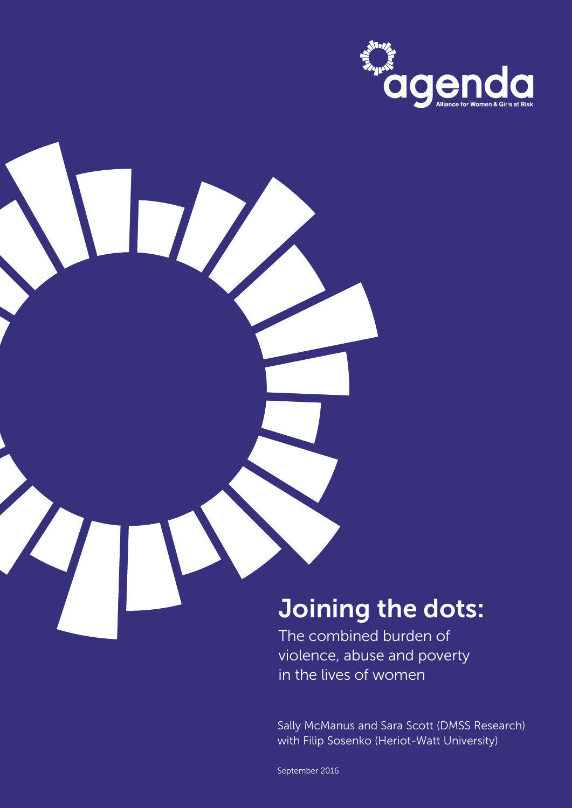

# Joining the dots:

The combined burden of violence, abuse and poverty in the lives of women

Sally McManus and Sara Scott (DMSS Research) with Filip Sosenko (Heriot-Watt University)

1 Joining the Dots: September 2016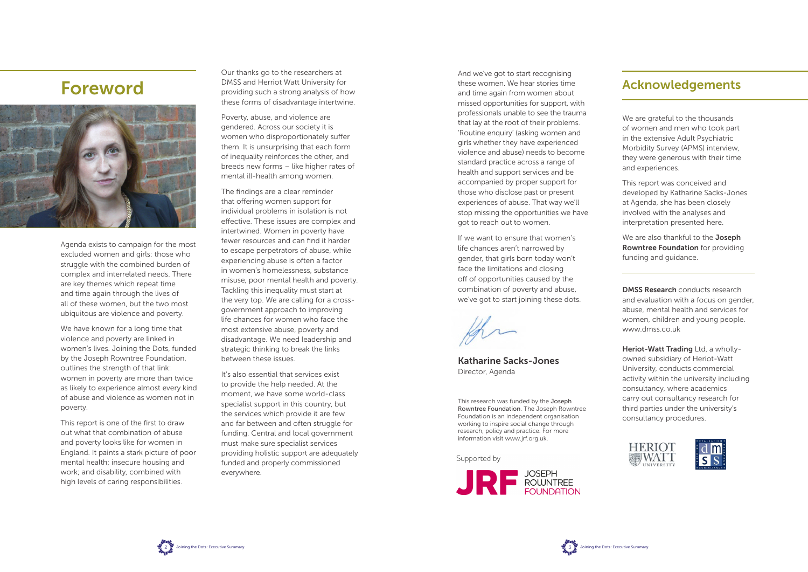

Agenda exists to campaign for the most excluded women and girls: those who struggle with the combined burden of complex and interrelated needs. There are key themes which repeat time and time again through the lives of all of these women, but the two most ubiquitous are violence and poverty.

We have known for a long time that violence and poverty are linked in women's lives. Joining the Dots, funded by the Joseph Rowntree Foundation, outlines the strength of that link: women in poverty are more than twice as likely to experience almost every kind of abuse and violence as women not in poverty.

This report is one of the first to draw out what that combination of abuse and poverty looks like for women in England. It paints a stark picture of poor mental health; insecure housing and work; and disability, combined with high levels of caring responsibilities.

Our thanks go to the researchers at DMSS and Herriot Watt University for providing such a strong analysis of how these forms of disadvantage intertwine.

Poverty, abuse, and violence are gendered. Across our society it is women who disproportionately suffer them. It is unsurprising that each form of inequality reinforces the other, and breeds new forms – like higher rates of mental ill-health among women.

The findings are a clear reminder that offering women support for individual problems in isolation is not effective. These issues are complex and intertwined. Women in poverty have fewer resources and can find it harder to escape perpetrators of abuse, while experiencing abuse is often a factor in women's homelessness, substance misuse, poor mental health and poverty. Tackling this inequality must start at the very top. We are calling for a crossgovernment approach to improving life chances for women who face the most extensive abuse, poverty and disadvantage. We need leadership and strategic thinking to break the links between these issues.

We are also thankful to the **Joseph** Rowntree Foundation for providing funding and guidance.

Heriot-Watt Trading Ltd, a whollyowned subsidiary of Heriot-Watt University, conducts commercial activity within the university including consultancy, where academics carry out consultancy research for third parties under the university's consultancy procedures.





It's also essential that services exist to provide the help needed. At the moment, we have some world-class specialist support in this country, but the services which provide it are few and far between and often struggle for funding. Central and local government must make sure specialist services providing holistic support are adequately funded and properly commissioned everywhere.

## Foreword



And we've got to start recognising these women. We hear stories time and time again from women about missed opportunities for support, with professionals unable to see the trauma that lay at the root of their problems. 'Routine enquiry' (asking women and girls whether they have experienced violence and abuse) needs to become standard practice across a range of health and support services and be accompanied by proper support for those who disclose past or present experiences of abuse. That way we'll stop missing the opportunities we have got to reach out to women.

If we want to ensure that women's life chances aren't narrowed by gender, that girls born today won't face the limitations and closing off of opportunities caused by the combination of poverty and abuse, we've got to start joining these dots.

the

Katharine Sacks-Jones Director, Agenda

We are grateful to the thousands of women and men who took part in the extensive Adult Psychiatric Morbidity Survey (APMS) interview, they were generous with their time and experiences.

This report was conceived and developed by Katharine Sacks-Jones at Agenda, she has been closely involved with the analyses and interpretation presented here.

DMSS Research conducts research and evaluation with a focus on gender, abuse, mental health and services for women, children and young people. www.dmss.co.uk

### Acknowledgements

This research was funded by the Joseph Rowntree Foundation. The Joseph Rowntree Foundation is an independent organisation working to inspire social change through research, policy and practice. For more information visit www.jrf.org.uk.

Supported by

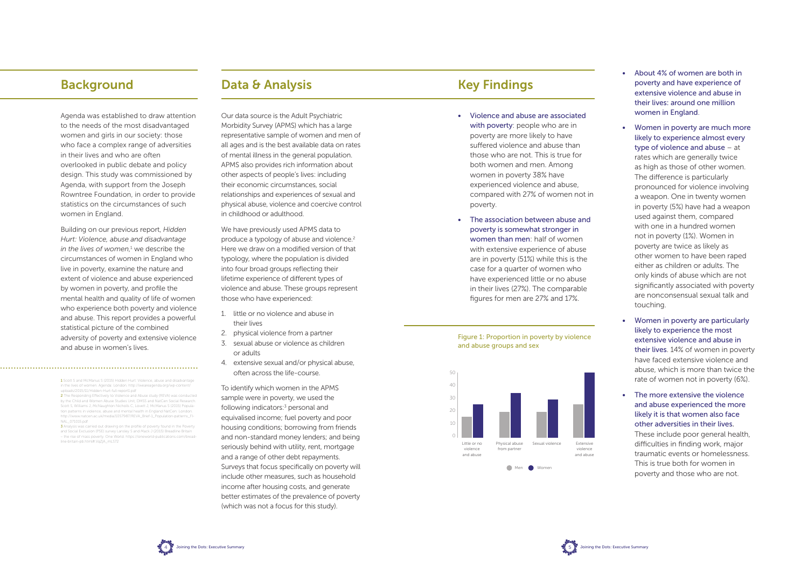Agenda was established to draw attention to the needs of the most disadvantaged women and girls in our society: those who face a complex range of adversities in their lives and who are often overlooked in public debate and policy design. This study was commissioned by Agenda, with support from the Joseph Rowntree Foundation, in order to provide statistics on the circumstances of such women in England.

Building on our previous report, *Hidden Hurt: Violence, abuse and disadvantage*  in the lives of women,<sup>1</sup> we describe the circumstances of women in England who live in poverty, examine the nature and extent of violence and abuse experienced by women in poverty, and profile the mental health and quality of life of women who experience both poverty and violence and abuse. This report provides a powerful statistical picture of the combined adversity of poverty and extensive violence and abuse in women's lives.

Our data source is the Adult Psychiatric Morbidity Survey (APMS) which has a large representative sample of women and men of all ages and is the best available data on rates of mental illness in the general population. APMS also provides rich information about other aspects of people's lives: including their economic circumstances, social relationships and experiences of sexual and physical abuse, violence and coercive control in childhood or adulthood.

We have previously used APMS data to produce a typology of abuse and violence.<sup>2</sup> Here we draw on a modified version of that typology, where the population is divided into four broad groups reflecting their lifetime experience of different types of violence and abuse. These groups represent those who have experienced:

- 1. little or no violence and abuse in their lives
- 2. physical violence from a partner
- 3. sexual abuse or violence as children or adults
- 4. extensive sexual and/or physical abuse, often across the life-course.

To identify which women in the APMS sample were in poverty, we used the following indicators:<sup>3</sup> personal and equivalised income; fuel poverty and poor housing conditions; borrowing from friends and non-standard money lenders; and being seriously behind with utility, rent, mortgage and a range of other debt repayments. Surveys that focus specifically on poverty will include other measures, such as household income after housing costs, and generate better estimates of the prevalence of poverty (which was not a focus for this study).

- 2 The Responding Effectively to Violence and Abuse study (REVA) was conducted by the Child and Women Abuse Studies Unit, DMSS and NatCen Social Research. Scott S, Williams J, McNaughton Nicholls C, Lovett J, McManus S (2015) Population patterns in violence, abuse and mental health in England NatCen: London. http://www.natcen.ac.uk/media/1057987/RFVA\_Brief-1\_Population-patterns\_FI-NAL\_071015.pdf
- 3 Analysis was carried out drawing on the profile of poverty found in the Povert and Social Exclusion (PSE) survey Lansley S and Mack J (2015) Breadline Britain – the rise of mass poverty. One World. https://oneworld-publications.com/breadline-britain-pb.html#.VqZjA\_mLS72

## Background **Data & Analysis** Charles Background Data & Analysis

- Violence and abuse are associated with poverty: people who are in poverty are more likely to have suffered violence and abuse than those who are not. This is true for both women and men. Among women in poverty 38% have experienced violence and abuse, compared with 27% of women not in poverty.
- The association between abuse and poverty is somewhat stronger in women than men: half of women with extensive experience of abuse are in poverty (51%) while this is the case for a quarter of women who have experienced little or no abuse in their lives (27%). The comparable figures for men are 27% and 17%.
- About 4% of women are both in poverty and have experience of extensive violence and abuse in their lives: around one million women in England.
- Women in poverty are much more likely to experience almost every type of violence and abuse – at rates which are generally twice as high as those of other women. The difference is particularly pronounced for violence involving a weapon. One in twenty women in poverty (5%) have had a weapon used against them, compared with one in a hundred women not in poverty (1%). Women in poverty are twice as likely as other women to have been raped either as children or adults. The only kinds of abuse which are not significantly associated with poverty are nonconsensual sexual talk and touching.
- Women in poverty are particularly likely to experience the most extensive violence and abuse in their lives. 14% of women in poverty have faced extensive violence and abuse, which is more than twice the rate of women not in poverty (6%).
- The more extensive the violence and abuse experienced the more likely it is that women also face other adversities in their lives. These include poor general health, difficulties in finding work, major traumatic events or homelessness. This is true both for women in poverty and those who are not.



#### Figure 1: Proportion in poverty by violence and abuse groups and sex

<sup>1</sup> Scott S and McManus S (2015) Hidden Hurt: Violence, abuse and disadvantage in the lives of women. Agenda: London. http://weareagenda.org/wp-content/ uploads/2015/11/Hidden-Hurt-full-report1.pdf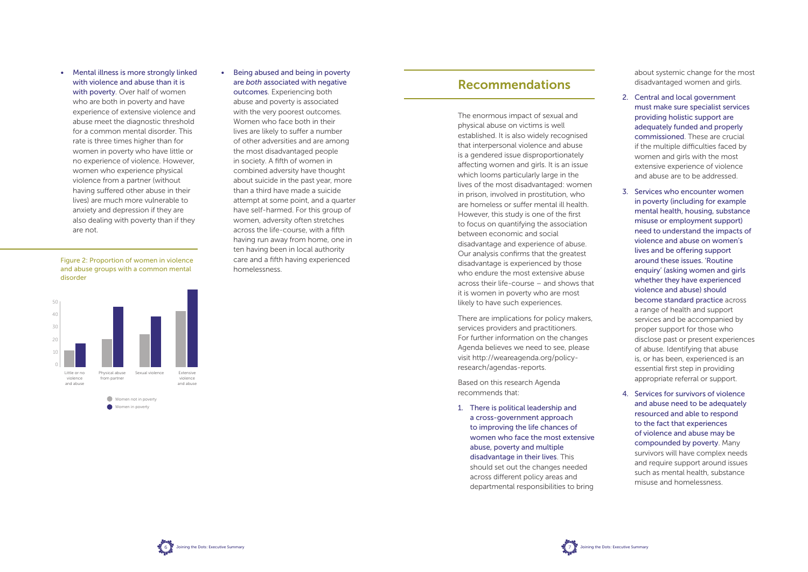• Mental illness is more strongly linked with violence and abuse than it is with poverty. Over half of women who are both in poverty and have experience of extensive violence and abuse meet the diagnostic threshold for a common mental disorder. This rate is three times higher than for women in poverty who have little or no experience of violence. However, women who experience physical violence from a partner (without having suffered other abuse in their lives) are much more vulnerable to anxiety and depression if they are also dealing with poverty than if they are not.

• Being abused and being in poverty are *both* associated with negative outcomes. Experiencing both abuse and poverty is associated with the very poorest outcomes. Women who face both in their lives are likely to suffer a number of other adversities and are among the most disadvantaged people in society. A fifth of women in combined adversity have thought about suicide in the past year, more than a third have made a suicide attempt at some point, and a quarter have self-harmed. For this group of women, adversity often stretches across the life-course, with a fifth having run away from home, one in ten having been in local authority care and a fifth having experienced homelessness.

### Recommendations

The enormous impact of sexual and physical abuse on victims is well established. It is also widely recognised that interpersonal violence and abuse is a gendered issue disproportionately affecting women and girls. It is an issue which looms particularly large in the lives of the most disadvantaged: women in prison, involved in prostitution, who are homeless or suffer mental ill health. However, this study is one of the first to focus on quantifying the association between economic and social disadvantage and experience of abuse. Our analysis confirms that the greatest disadvantage is experienced by those who endure the most extensive abuse across their life-course – and shows that it is women in poverty who are most likely to have such experiences.

There are implications for policy makers, services providers and practitioners. For further information on the changes Agenda believes we need to see, please visit http://weareagenda.org/policyresearch/agendas-reports.

Based on this research Agenda recommends that:

1. There is political leadership and a cross-government approach to improving the life chances of women who face the most extensive abuse, poverty and multiple disadvantage in their lives. This should set out the changes needed across different policy areas and departmental responsibilities to bring





Figure 2: Proportion of women in violence and abuse groups with a common mental disorder

about systemic change for the most disadvantaged women and girls.

- 2. Central and local government must make sure specialist services providing holistic support are adequately funded and properly commissioned. These are crucial if the multiple difficulties faced by women and girls with the most extensive experience of violence and abuse are to be addressed.
- 3. Services who encounter women in poverty (including for example mental health, housing, substance misuse or employment support) need to understand the impacts of violence and abuse on women's lives and be offering support around these issues. 'Routine enquiry' (asking women and girls whether they have experienced violence and abuse) should become standard practice across a range of health and support services and be accompanied by proper support for those who disclose past or present experiences of abuse. Identifying that abuse is, or has been, experienced is an essential first step in providing appropriate referral or support.
- 4. Services for survivors of violence and abuse need to be adequately resourced and able to respond to the fact that experiences of violence and abuse may be compounded by poverty. Many survivors will have complex needs and require support around issues such as mental health, substance misuse and homelessness.